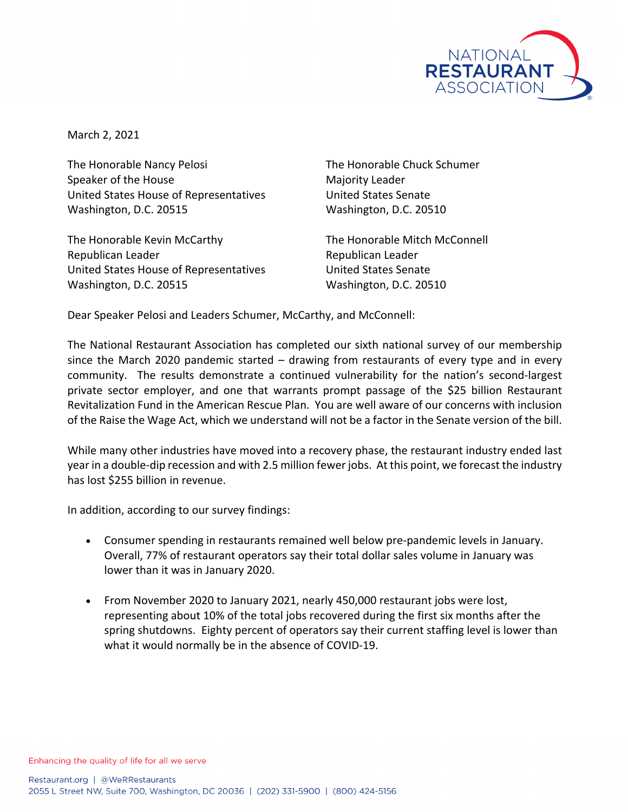

March 2, 2021

The Honorable Nancy Pelosi The Honorable Chuck Schumer Speaker of the House Majority Leader United States House of Representatives United States Senate Washington, D.C. 20515 Washington, D.C. 20510

The Honorable Kevin McCarthy The Honorable Mitch McConnell Republican Leader **Republican Leader** Republican Leader United States House of Representatives United States Senate Washington, D.C. 20515 Washington, D.C. 20510

Dear Speaker Pelosi and Leaders Schumer, McCarthy, and McConnell:

The National Restaurant Association has completed our sixth national survey of our membership since the March 2020 pandemic started – drawing from restaurants of every type and in every community. The results demonstrate a continued vulnerability for the nation's second-largest private sector employer, and one that warrants prompt passage of the \$25 billion Restaurant Revitalization Fund in the American Rescue Plan. You are well aware of our concerns with inclusion of the Raise the Wage Act, which we understand will not be a factor in the Senate version of the bill.

While many other industries have moved into a recovery phase, the restaurant industry ended last year in a double-dip recession and with 2.5 million fewer jobs. At this point, we forecast the industry has lost \$255 billion in revenue.

In addition, according to our survey findings:

- Consumer spending in restaurants remained well below pre-pandemic levels in January. Overall, 77% of restaurant operators say their total dollar sales volume in January was lower than it was in January 2020.
- From November 2020 to January 2021, nearly 450,000 restaurant jobs were lost, representing about 10% of the total jobs recovered during the first six months after the spring shutdowns. Eighty percent of operators say their current staffing level is lower than what it would normally be in the absence of COVID-19.

Enhancing the quality of life for all we serve